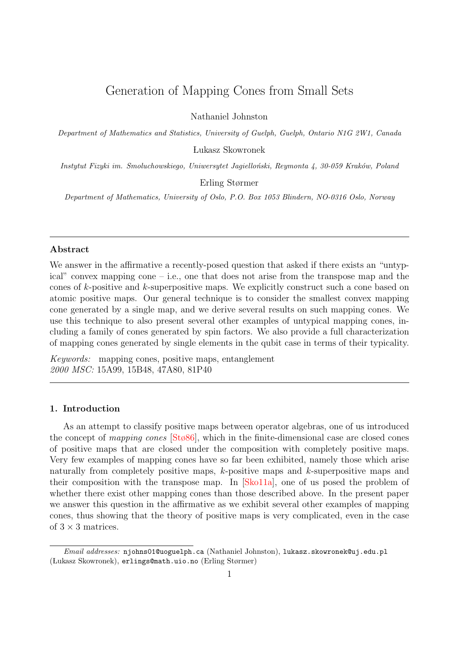# Generation of Mapping Cones from Small Sets

Nathaniel Johnston

Department of Mathematics and Statistics, University of Guelph, Guelph, Ontario N1G 2W1, Canada Lukasz Skowronek

Instytut Fizyki im. Smoluchowskiego, Uniwersytet Jagielloński, Reymonta 4, 30-059 Kraków, Poland

Erling Størmer

Department of Mathematics, University of Oslo, P.O. Box 1053 Blindern, NO-0316 Oslo, Norway

# Abstract

We answer in the affirmative a recently-posed question that asked if there exists an "untypical" convex mapping cone – i.e., one that does not arise from the transpose map and the cones of k-positive and k-superpositive maps. We explicitly construct such a cone based on atomic positive maps. Our general technique is to consider the smallest convex mapping cone generated by a single map, and we derive several results on such mapping cones. We use this technique to also present several other examples of untypical mapping cones, including a family of cones generated by spin factors. We also provide a full characterization of mapping cones generated by single elements in the qubit case in terms of their typicality.

Keywords: mapping cones, positive maps, entanglement 2000 MSC: 15A99, 15B48, 47A80, 81P40

# 1. Introduction

As an attempt to classify positive maps between operator algebras, one of us introduced the concept of mapping cones [\[Stø86\]](#page-17-0), which in the finite-dimensional case are closed cones of positive maps that are closed under the composition with completely positive maps. Very few examples of mapping cones have so far been exhibited, namely those which arise naturally from completely positive maps, k-positive maps and k-superpositive maps and their composition with the transpose map. In [\[Sko11a\]](#page-16-0), one of us posed the problem of whether there exist other mapping cones than those described above. In the present paper we answer this question in the affirmative as we exhibit several other examples of mapping cones, thus showing that the theory of positive maps is very complicated, even in the case of  $3 \times 3$  matrices.

Email addresses: njohns01@uoguelph.ca (Nathaniel Johnston), lukasz.skowronek@uj.edu.pl ( Lukasz Skowronek), erlings@math.uio.no (Erling Størmer)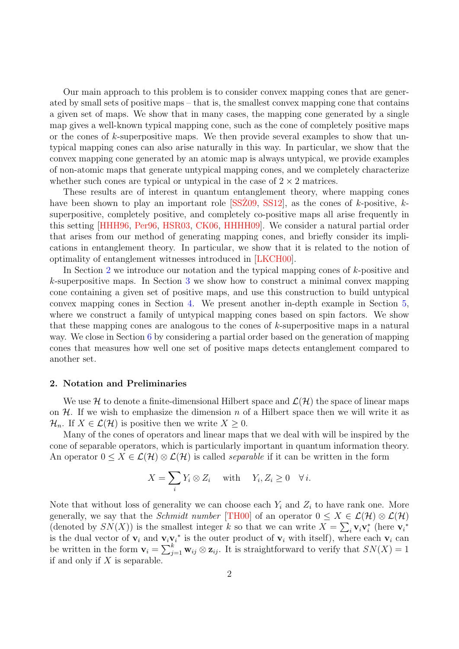Our main approach to this problem is to consider convex mapping cones that are generated by small sets of positive maps – that is, the smallest convex mapping cone that contains a given set of maps. We show that in many cases, the mapping cone generated by a single map gives a well-known typical mapping cone, such as the cone of completely positive maps or the cones of  $k$ -superpositive maps. We then provide several examples to show that untypical mapping cones can also arise naturally in this way. In particular, we show that the convex mapping cone generated by an atomic map is always untypical, we provide examples of non-atomic maps that generate untypical mapping cones, and we completely characterize whether such cones are typical or untypical in the case of  $2 \times 2$  matrices.

These results are of interest in quantum entanglement theory, where mapping cones have been shown to play an important role  $[SSZ09, SS12]$  $[SSZ09, SS12]$  $[SSZ09, SS12]$ , as the cones of k-positive, ksuperpositive, completely positive, and completely co-positive maps all arise frequently in this setting [\[HHH96,](#page-16-1) [Per96,](#page-16-2) [HSR03,](#page-16-3) [CK06,](#page-16-4) [HHHH09\]](#page-16-5). We consider a natural partial order that arises from our method of generating mapping cones, and briefly consider its implications in entanglement theory. In particular, we show that it is related to the notion of optimality of entanglement witnesses introduced in [\[LKCH00\]](#page-16-6).

In Section [2](#page-1-0) we introduce our notation and the typical mapping cones of k-positive and k-superpositive maps. In Section [3](#page-3-0) we show how to construct a minimal convex mapping cone containing a given set of positive maps, and use this construction to build untypical convex mapping cones in Section [4.](#page-5-0) We present another in-depth example in Section [5,](#page-13-0) where we construct a family of untypical mapping cones based on spin factors. We show that these mapping cones are analogous to the cones of  $k$ -superpositive maps in a natural way. We close in Section [6](#page-15-0) by considering a partial order based on the generation of mapping cones that measures how well one set of positive maps detects entanglement compared to another set.

## <span id="page-1-0"></span>2. Notation and Preliminaries

We use H to denote a finite-dimensional Hilbert space and  $\mathcal{L}(\mathcal{H})$  the space of linear maps on  $H$ . If we wish to emphasize the dimension n of a Hilbert space then we will write it as  $\mathcal{H}_n$ . If  $X \in \mathcal{L}(\mathcal{H})$  is positive then we write  $X \geq 0$ .

Many of the cones of operators and linear maps that we deal with will be inspired by the cone of separable operators, which is particularly important in quantum information theory. An operator  $0 \le X \in \mathcal{L}(\mathcal{H}) \otimes \mathcal{L}(\mathcal{H})$  is called *separable* if it can be written in the form

$$
X = \sum_{i} Y_i \otimes Z_i \quad \text{with} \quad Y_i, Z_i \ge 0 \quad \forall i.
$$

Note that without loss of generality we can choose each  $Y_i$  and  $Z_i$  to have rank one. More generally, we say that the *Schmidt number* [\[TH00\]](#page-17-3) of an operator  $0 \le X \in \mathcal{L}(\mathcal{H}) \otimes \mathcal{L}(\mathcal{H})$ (denoted by  $SN(X)$ ) is the smallest integer k so that we can write  $X = \sum_i \mathbf{v}_i \mathbf{v}_i^*$  (here  $\mathbf{v}_i^*$ is the dual vector of  $v_i$  and  $v_i v_i^*$  is the outer product of  $v_i$  with itself), where each  $v_i$  can be written in the form  $\mathbf{v}_i = \sum_{j=1}^k \mathbf{w}_{ij} \otimes \mathbf{z}_{ij}$ . It is straightforward to verify that  $SN(X) = 1$ if and only if  $X$  is separable.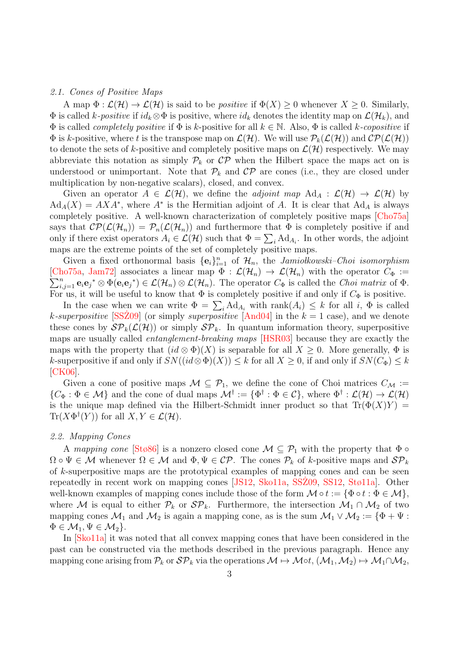#### 2.1. Cones of Positive Maps

A map  $\Phi : \mathcal{L}(\mathcal{H}) \to \mathcal{L}(\mathcal{H})$  is said to be *positive* if  $\Phi(X) \geq 0$  whenever  $X \geq 0$ . Similarly,  $\Phi$  is called k-*positive* if  $id_k \otimes \Phi$  is positive, where  $id_k$  denotes the identity map on  $\mathcal{L}(\mathcal{H}_k)$ , and  $\Phi$  is called *completely positive* if  $\Phi$  is k-positive for all  $k \in \mathbb{N}$ . Also,  $\Phi$  is called k-copositive if  $\Phi$  is k-positive, where t is the transpose map on  $\mathcal{L}(\mathcal{H})$ . We will use  $\mathcal{P}_k(\mathcal{L}(\mathcal{H}))$  and  $\mathcal{CP}(\mathcal{L}(\mathcal{H}))$ to denote the sets of k-positive and completely positive maps on  $\mathcal{L}(\mathcal{H})$  respectively. We may abbreviate this notation as simply  $\mathcal{P}_k$  or  $\mathcal{CP}$  when the Hilbert space the maps act on is understood or unimportant. Note that  $P_k$  and  $\mathcal{CP}$  are cones (i.e., they are closed under multiplication by non-negative scalars), closed, and convex.

Given an operator  $A \in \mathcal{L}(\mathcal{H})$ , we define the *adjoint map*  $\text{Ad}_A : \mathcal{L}(\mathcal{H}) \to \mathcal{L}(\mathcal{H})$  by  $\text{Ad}_A(X) = AXA^*$ , where  $A^*$  is the Hermitian adjoint of A. It is clear that  $\text{Ad}_A$  is always completely positive. A well-known characterization of completely positive maps [\[Cho75a\]](#page-16-7) says that  $\mathcal{CP}(\mathcal{L}(\mathcal{H}_n)) = \mathcal{P}_n(\mathcal{L}(\mathcal{H}_n))$  and furthermore that  $\Phi$  is completely positive if and only if there exist operators  $A_i \in \mathcal{L}(\mathcal{H})$  such that  $\Phi = \sum_i \text{Ad}_{A_i}$ . In other words, the adjoint maps are the extreme points of the set of completely positive maps.

Given a fixed orthonormal basis  $\{\mathbf e_i\}_{i=1}^n$  of  $\mathcal{H}_n$ , the *Jamiolkowski–Choi isomorphism* [[Cho75a,](#page-16-7) [Jam72\]](#page-16-8) associates a linear map  $\Phi : \mathcal{L}(\mathcal{H}_n) \to \mathcal{L}(\mathcal{H}_n)$  with the operator  $C_{\Phi}$  :=  $\sum_{i,j=1}^n \mathbf{e}_i \mathbf{e}_j^* \otimes \Phi(\mathbf{e}_i \mathbf{e}_j^*) \in \mathcal{L}(\mathcal{H}_n) \otimes \mathcal{L}(\mathcal{H}_n)$ . The operator  $C_{\Phi}$  is called the *Choi matrix* of  $\Phi$ . For us, it will be useful to know that  $\Phi$  is completely positive if and only if  $C_{\Phi}$  is positive.

In the case when we can write  $\Phi = \sum_i \text{Ad}_{A_i}$  with rank $(A_i) \leq k$  for all i,  $\Phi$  is called k-superpositive [\[SSZ09](#page-17-1)] (or simply superpositive [\[And04\]](#page-15-1) in the  $k = 1$  case), and we denote these cones by  $\mathcal{SP}_k(\mathcal{L}(\mathcal{H}))$  or simply  $\mathcal{SP}_k$ . In quantum information theory, superpositive maps are usually called entanglement-breaking maps [\[HSR03\]](#page-16-3) because they are exactly the maps with the property that  $(id \otimes \Phi)(X)$  is separable for all  $X \geq 0$ . More generally,  $\Phi$  is k-superpositive if and only if  $SN((id \otimes \Phi)(X)) \leq k$  for all  $X \geq 0$ , if and only if  $SN(C_{\Phi}) \leq k$ [\[CK06\]](#page-16-4).

Given a cone of positive maps  $\mathcal{M} \subseteq \mathcal{P}_1$ , we define the cone of Choi matrices  $C_{\mathcal{M}}$ :=  $\{C_{\Phi} : \Phi \in \mathcal{M}\}\$ and the cone of dual maps  $\mathcal{M}^{\dagger} := \{\Phi^{\dagger} : \Phi \in \mathcal{C}\}\$ , where  $\Phi^{\dagger} : \mathcal{L}(\mathcal{H}) \to \mathcal{L}(\mathcal{H})$ is the unique map defined via the Hilbert-Schmidt inner product so that  $\text{Tr}(\Phi(X)Y) =$  $\text{Tr}(X\Phi^{\dagger}(Y))$  for all  $X, Y \in \mathcal{L}(\mathcal{H})$ .

## 2.2. Mapping Cones

A mapping cone [\[Stø86\]](#page-17-0) is a nonzero closed cone  $\mathcal{M} \subseteq \mathcal{P}_1$  with the property that  $\Phi \circ$  $\Omega \circ \Psi \in \mathcal{M}$  whenever  $\Omega \in \mathcal{M}$  and  $\Phi, \Psi \in \mathcal{CP}$ . The cones  $\mathcal{P}_k$  of k-positive maps and  $\mathcal{SP}_k$ of k-superpositive maps are the prototypical examples of mapping cones and can be seen repeatedly in recent work on mapping cones [\[JS12,](#page-16-9) [Sko11a,](#page-16-0) [SSZ09](#page-17-1), [SS12,](#page-17-2) [Stø11a\]](#page-17-4). Other well-known examples of mapping cones include those of the form  $\mathcal M \circ t := \{ \Phi \circ t : \Phi \in \mathcal M \},$ where M is equal to either  $\mathcal{P}_k$  or  $\mathcal{SP}_k$ . Furthermore, the intersection  $\mathcal{M}_1 \cap \mathcal{M}_2$  of two mapping cones  $\mathcal{M}_1$  and  $\mathcal{M}_2$  is again a mapping cone, as is the sum  $\mathcal{M}_1 \vee \mathcal{M}_2 := \{ \Phi + \Psi :$  $\Phi \in \mathcal{M}_1, \Psi \in \mathcal{M}_2$ .

In [\[Sko11a\]](#page-16-0) it was noted that all convex mapping cones that have been considered in the past can be constructed via the methods described in the previous paragraph. Hence any mapping cone arising from  $\mathcal{P}_k$  or  $\mathcal{SP}_k$  via the operations  $\mathcal{M} \mapsto \mathcal{M} \circ t$ ,  $(\mathcal{M}_1,\mathcal{M}_2) \mapsto \mathcal{M}_1 \cap \mathcal{M}_2$ ,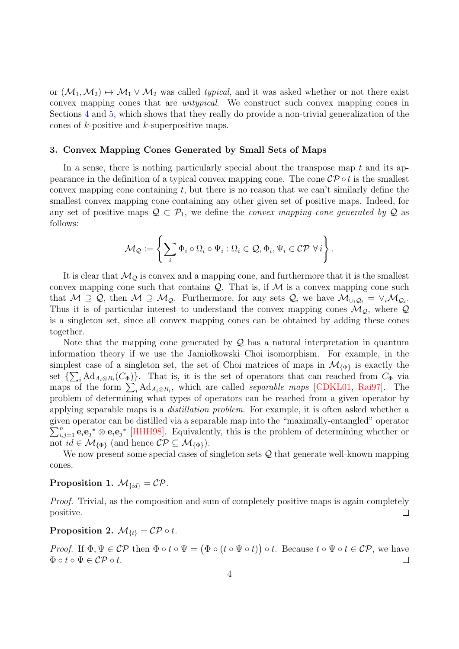or  $(\mathcal{M}_1, \mathcal{M}_2) \mapsto \mathcal{M}_1 \vee \mathcal{M}_2$  was called *typical*, and it was asked whether or not there exist convex mapping cones that are untypical. We construct such convex mapping cones in Sections [4](#page-5-0) and [5,](#page-13-0) which shows that they really do provide a non-trivial generalization of the cones of k-positive and k-superpositive maps.

#### <span id="page-3-0"></span>3. Convex Mapping Cones Generated by Small Sets of Maps

In a sense, there is nothing particularly special about the transpose map  $t$  and its appearance in the definition of a typical convex mapping cone. The cone  $\mathcal{CP} \circ t$  is the smallest convex mapping cone containing  $t$ , but there is no reason that we can't similarly define the smallest convex mapping cone containing any other given set of positive maps. Indeed, for any set of positive maps  $\mathcal{Q} \subset \mathcal{P}_1$ , we define the *convex mapping cone generated by*  $\mathcal{Q}$  as follows:

$$
\mathcal{M}_{\mathcal{Q}} := \left\{ \sum_{i} \Phi_{i} \circ \Omega_{i} \circ \Psi_{i} : \Omega_{i} \in \mathcal{Q}, \Phi_{i}, \Psi_{i} \in \mathcal{CP} \; \forall \, i \right\}.
$$

It is clear that  $\mathcal{M}_{\mathcal{O}}$  is convex and a mapping cone, and furthermore that it is the smallest convex mapping cone such that contains  $Q$ . That is, if  $M$  is a convex mapping cone such that  $M \supseteq Q$ , then  $M \supseteq M_{Q}$ . Furthermore, for any sets  $Q_i$  we have  $M_{\cup_i Q_i} = \vee_i M_{Q_i}$ . Thus it is of particular interest to understand the convex mapping cones  $\mathcal{M}_{\mathcal{Q}}$ , where  $\mathcal Q$ is a singleton set, since all convex mapping cones can be obtained by adding these cones together.

Note that the mapping cone generated by  $\mathcal Q$  has a natural interpretation in quantum information theory if we use the Jamiołkowski–Choi isomorphism. For example, in the simplest case of a singleton set, the set of Choi matrices of maps in  $\mathcal{M}_{\{\Phi\}}$  is exactly the set  $\{\sum_i \text{Ad}_{A_i \otimes B_i}(C_{\Phi})\}\$ . That is, it is the set of operators that can reached from  $C_{\Phi}$  via maps of the form  $\sum_i \text{Ad}_{A_i \otimes B_i}$ , which are called *separable maps* [\[CDKL01,](#page-16-10) [Rai97\]](#page-16-11). The problem of determining what types of operators can be reached from a given operator by applying separable maps is a distillation problem. For example, it is often asked whether a given operator can be distilled via a separable map into the "maximally-entangled" operator  $\sum_{i,j=1}^n \mathbf{e}_i \mathbf{e}_j^* \otimes \mathbf{e}_i \mathbf{e}_j^*$  [\[HHH98\]](#page-16-12). Equivalently, this is the problem of determining whether or not  $id \in \mathcal{M}_{\{\Phi\}}$  (and hence  $\mathcal{CP} \subseteq \mathcal{M}_{\{\Phi\}}$ ).

We now present some special cases of singleton sets Q that generate well-known mapping cones.

# <span id="page-3-1"></span>Proposition 1.  $\mathcal{M}_{\{id\}} = \mathcal{CP}$ .

Proof. Trivial, as the composition and sum of completely positive maps is again completely positive.  $\Box$ 

Proposition 2.  $\mathcal{M}_{\{t\}} = \mathcal{CP} \circ t$ .

Proof. If  $\Phi, \Psi \in \mathcal{CP}$  then  $\Phi \circ t \circ \Psi = (\Phi \circ (t \circ \Psi \circ t)) \circ t$ . Because  $t \circ \Psi \circ t \in \mathcal{CP}$ , we have  $\Phi \circ t \circ \Psi \in \mathcal{CP} \circ t$ .  $\Box$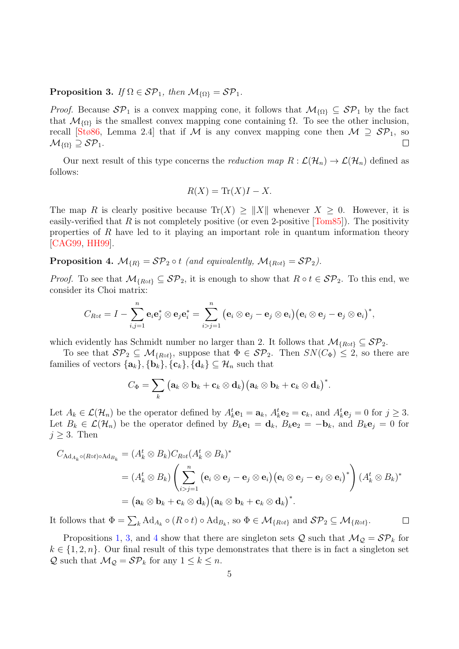<span id="page-4-0"></span>**Proposition 3.** If  $\Omega \in \mathcal{SP}_1$ , then  $\mathcal{M}_{\{\Omega\}} = \mathcal{SP}_1$ .

*Proof.* Because  $\mathcal{SP}_1$  is a convex mapping cone, it follows that  $\mathcal{M}_{\{\Omega\}} \subseteq \mathcal{SP}_1$  by the fact that  $\mathcal{M}_{\{\Omega\}}$  is the smallest convex mapping cone containing  $\Omega$ . To see the other inclusion, recall [\[Stø86,](#page-17-0) Lemma 2.4] that if M is any convex mapping cone then  $M \supseteq S\mathcal{P}_1$ , so  $\mathcal{M}_{\{\Omega\}} \supseteq \mathcal{SP}_1.$  $\Box$ 

Our next result of this type concerns the *reduction map*  $R : \mathcal{L}(\mathcal{H}_n) \to \mathcal{L}(\mathcal{H}_n)$  defined as follows:

$$
R(X) = \text{Tr}(X)I - X.
$$

The map R is clearly positive because  $\text{Tr}(X) \geq ||X||$  whenever  $X \geq 0$ . However, it is easily-verified that R is not completely positive (or even 2-positive  $[Tom85]$ ). The positivity properties of  $R$  have led to it playing an important role in quantum information theory [\[CAG99,](#page-16-13) [HH99\]](#page-16-14).

<span id="page-4-1"></span>**Proposition 4.**  $\mathcal{M}_{\{R\}} = \mathcal{SP}_2 \circ t$  (and equivalently,  $\mathcal{M}_{\{Rot\}} = \mathcal{SP}_2$ ).

*Proof.* To see that  $\mathcal{M}_{\{Rot\}} \subseteq \mathcal{SP}_2$ , it is enough to show that  $R \circ t \in \mathcal{SP}_2$ . To this end, we consider its Choi matrix:

$$
C_{Rot} = I - \sum_{i,j=1}^{n} \mathbf{e}_{i} \mathbf{e}_{j}^{*} \otimes \mathbf{e}_{j} \mathbf{e}_{i}^{*} = \sum_{i>j=1}^{n} (\mathbf{e}_{i} \otimes \mathbf{e}_{j} - \mathbf{e}_{j} \otimes \mathbf{e}_{i}) (\mathbf{e}_{i} \otimes \mathbf{e}_{j} - \mathbf{e}_{j} \otimes \mathbf{e}_{i})^{*},
$$

which evidently has Schmidt number no larger than 2. It follows that  $\mathcal{M}_{\{Rot\}} \subseteq \mathcal{SP}_2$ .

To see that  $\mathcal{SP}_2 \subseteq \mathcal{M}_{\{Rot\}}$ , suppose that  $\Phi \in \mathcal{SP}_2$ . Then  $SN(C_{\Phi}) \leq 2$ , so there are families of vectors  $\{\mathbf{a}_k\}, \{\mathbf{b}_k\}, \{\mathbf{c}_k\}, \{\mathbf{d}_k\} \subseteq \mathcal{H}_n$  such that

$$
C_\Phi = \sum_k (\mathbf{a}_k \otimes \mathbf{b}_k + \mathbf{c}_k \otimes \mathbf{d}_k) (\mathbf{a}_k \otimes \mathbf{b}_k + \mathbf{c}_k \otimes \mathbf{d}_k)^*.
$$

Let  $A_k \in \mathcal{L}(\mathcal{H}_n)$  be the operator defined by  $A_k^t \mathbf{e}_1 = \mathbf{a}_k$ ,  $A_k^t \mathbf{e}_2 = \mathbf{c}_k$ , and  $A_k^t \mathbf{e}_j = 0$  for  $j \geq 3$ . Let  $B_k \in \mathcal{L}(\mathcal{H}_n)$  be the operator defined by  $B_k\mathbf{e}_1 = \mathbf{d}_k$ ,  $B_k\mathbf{e}_2 = -\mathbf{b}_k$ , and  $B_k\mathbf{e}_j = 0$  for  $j \geq 3$ . Then

$$
C_{\mathrm{Ad}_{A_k} \circ (\mathrm{Rot}) \circ \mathrm{Ad}_{B_k}} = (A_k^t \otimes B_k) C_{R \circ t} (A_k^t \otimes B_k)^*
$$
  
=  $(A_k^t \otimes B_k) \left( \sum_{i>j=1}^n (\mathbf{e}_i \otimes \mathbf{e}_j - \mathbf{e}_j \otimes \mathbf{e}_i) (\mathbf{e}_i \otimes \mathbf{e}_j - \mathbf{e}_j \otimes \mathbf{e}_i)^* \right) (A_k^t \otimes B_k)^*$   
=  $(\mathbf{a}_k \otimes \mathbf{b}_k + \mathbf{c}_k \otimes \mathbf{d}_k) (\mathbf{a}_k \otimes \mathbf{b}_k + \mathbf{c}_k \otimes \mathbf{d}_k)^*.$ 

It follows that  $\Phi = \sum_{k} \text{Ad}_{A_k} \circ (R \circ t) \circ \text{Ad}_{B_k}$ , so  $\Phi \in \mathcal{M}_{\{R \circ t\}}$  and  $\mathcal{SP}_2 \subseteq \mathcal{M}_{\{R \circ t\}}$ .  $\Box$ 

Propositions [1,](#page-3-1) [3,](#page-4-0) and [4](#page-4-1) show that there are singleton sets Q such that  $\mathcal{M}_{\mathcal{Q}} = \mathcal{SP}_k$  for  $k \in \{1, 2, n\}$ . Our final result of this type demonstrates that there is in fact a singleton set Q such that  $\mathcal{M}_{\mathcal{Q}} = \mathcal{SP}_k$  for any  $1 \leq k \leq n$ .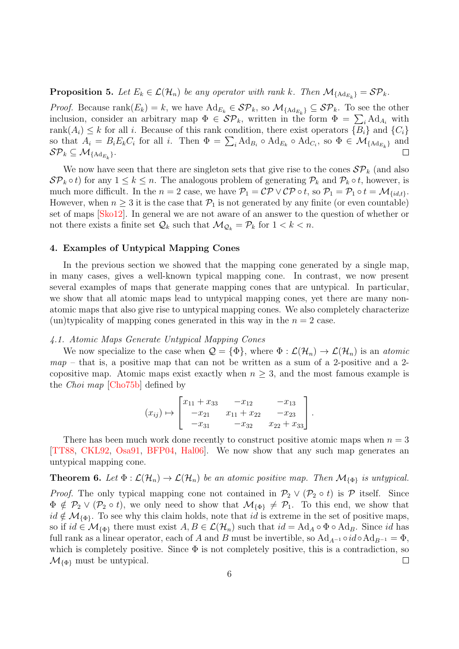**Proposition 5.** Let  $E_k \in \mathcal{L}(\mathcal{H}_n)$  be any operator with rank k. Then  $\mathcal{M}_{\{Ad_{E_k}\}} = \mathcal{SP}_k$ .

*Proof.* Because  $\text{rank}(E_k) = k$ , we have  $\text{Ad}_{E_k} \in \mathcal{SP}_k$ , so  $\mathcal{M}_{\{\text{Ad}_{E_k}\}} \subseteq \mathcal{SP}_k$ . To see the other inclusion, consider an arbitrary map  $\Phi \in \mathcal{SP}_k$ , written in the form  $\Phi = \sum_i \text{Ad}_{A_i}$  with rank $(A_i) \leq k$  for all i. Because of this rank condition, there exist operators  $\{B_i\}$  and  $\{C_i\}$ so that  $A_i = B_i E_k C_i$  for all i. Then  $\Phi = \sum_i \text{Ad}_{B_i} \circ \text{Ad}_{E_k} \circ \text{Ad}_{C_i}$ , so  $\Phi \in \mathcal{M}_{\{ \text{Ad}_{E_k} \}}$  and  $\mathcal{SP}_k \subseteq \mathcal{M}_{\{\text{Ad}_{E_k}\}}.$  $\Box$ 

We now have seen that there are singleton sets that give rise to the cones  $\mathcal{SP}_k$  (and also  $\mathcal{SP}_k \circ t$  for any  $1 \leq k \leq n$ . The analogous problem of generating  $\mathcal{P}_k$  and  $\mathcal{P}_k \circ t$ , however, is much more difficult. In the  $n = 2$  case, we have  $P_1 = \mathcal{CP} \vee \mathcal{CP} \circ t$ , so  $P_1 = P_1 \circ t = \mathcal{M}_{\{id,t\}}$ . However, when  $n \geq 3$  it is the case that  $\mathcal{P}_1$  is not generated by any finite (or even countable) set of maps [\[Sko12\]](#page-16-15). In general we are not aware of an answer to the question of whether or not there exists a finite set  $\mathcal{Q}_k$  such that  $\mathcal{M}_{\mathcal{Q}_k} = \mathcal{P}_k$  for  $1 < k < n$ .

# <span id="page-5-0"></span>4. Examples of Untypical Mapping Cones

In the previous section we showed that the mapping cone generated by a single map, in many cases, gives a well-known typical mapping cone. In contrast, we now present several examples of maps that generate mapping cones that are untypical. In particular, we show that all atomic maps lead to untypical mapping cones, yet there are many nonatomic maps that also give rise to untypical mapping cones. We also completely characterize (un)typicality of mapping cones generated in this way in the  $n = 2$  case.

## <span id="page-5-2"></span>4.1. Atomic Maps Generate Untypical Mapping Cones

We now specialize to the case when  $\mathcal{Q} = {\Phi}$ , where  $\Phi : \mathcal{L}(\mathcal{H}_n) \to \mathcal{L}(\mathcal{H}_n)$  is an atomic  $map$  – that is, a positive map that can not be written as a sum of a 2-positive and a 2copositive map. Atomic maps exist exactly when  $n \geq 3$ , and the most famous example is the Choi map [\[Cho75b\]](#page-16-16) defined by

$$
(x_{ij}) \mapsto \begin{bmatrix} x_{11} + x_{33} & -x_{12} & -x_{13} \\ -x_{21} & x_{11} + x_{22} & -x_{23} \\ -x_{31} & -x_{32} & x_{22} + x_{33} \end{bmatrix}.
$$

There has been much work done recently to construct positive atomic maps when  $n = 3$ [\[TT88,](#page-17-6) [CKL92,](#page-16-17) [Osa91,](#page-16-18) [BFP04,](#page-16-19) [Hal06\]](#page-16-20). We now show that any such map generates an untypical mapping cone.

<span id="page-5-1"></span>**Theorem 6.** Let  $\Phi : \mathcal{L}(\mathcal{H}_n) \to \mathcal{L}(\mathcal{H}_n)$  be an atomic positive map. Then  $\mathcal{M}_{\{\Phi\}}$  is untypical. *Proof.* The only typical mapping cone not contained in  $\mathcal{P}_2 \vee (\mathcal{P}_2 \circ t)$  is  $\mathcal P$  itself. Since  $\Phi \notin \mathcal{P}_2 \vee (\mathcal{P}_2 \circ t)$ , we only need to show that  $\mathcal{M}_{\{\Phi\}} \neq \mathcal{P}_1$ . To this end, we show that  $id \notin \mathcal{M}_{\{\Phi\}}$ . To see why this claim holds, note that id is extreme in the set of positive maps, so if  $id \in \mathcal{M}_{\{\Phi\}}$  there must exist  $A, B \in \mathcal{L}(\mathcal{H}_n)$  such that  $id = \text{Ad}_A \circ \Phi \circ \text{Ad}_B$ . Since id has full rank as a linear operator, each of A and B must be invertible, so  $Ad_{A^{-1}} \circ id \circ Ad_{B^{-1}} = \Phi$ , which is completely positive. Since  $\Phi$  is not completely positive, this is a contradiction, so  $\mathcal{M}_{\{\Phi\}}$  must be untypical.  $\Box$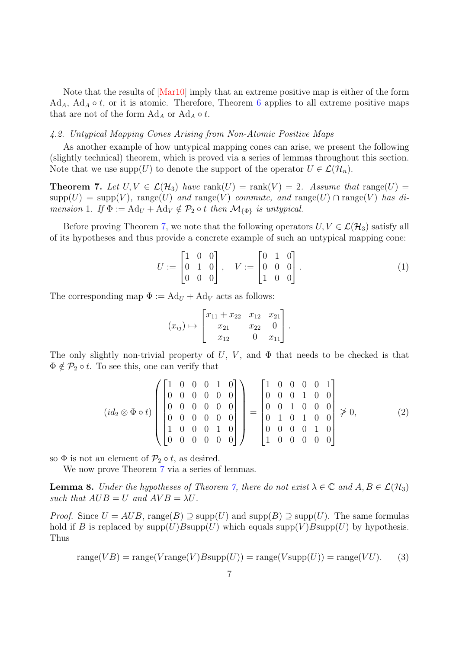Note that the results of [\[Mar10\]](#page-16-21) imply that an extreme positive map is either of the form Ad<sub>A</sub>, Ad<sub>A</sub>  $\circ$  t, or it is atomic. Therefore, Theorem [6](#page-5-1) applies to all extreme positive maps that are not of the form  $\text{Ad}_A$  or  $\text{Ad}_A \circ t$ .

## <span id="page-6-3"></span>4.2. Untypical Mapping Cones Arising from Non-Atomic Positive Maps

As another example of how untypical mapping cones can arise, we present the following (slightly technical) theorem, which is proved via a series of lemmas throughout this section. Note that we use supp $(U)$  to denote the support of the operator  $U \in \mathcal{L}(\mathcal{H}_n)$ .

<span id="page-6-0"></span>**Theorem 7.** Let  $U, V \in \mathcal{L}(\mathcal{H}_3)$  have rank $(U) = \text{rank}(V) = 2$ . Assume that range $(U) =$  ${\rm supp}(U)={\rm supp}(V)$ , range(U) and range(V) commute, and range(U)  $\cap$  range(V) has dimension 1. If  $\Phi := \text{Ad}_U + \text{Ad}_V \notin \mathcal{P}_2 \circ t$  then  $\mathcal{M}_{\{\Phi\}}$  is untypical.

Before proving Theorem [7,](#page-6-0) we note that the following operators  $U, V \in \mathcal{L}(\mathcal{H}_3)$  satisfy all of its hypotheses and thus provide a concrete example of such an untypical mapping cone:

$$
U := \begin{bmatrix} 1 & 0 & 0 \\ 0 & 1 & 0 \\ 0 & 0 & 0 \end{bmatrix}, \quad V := \begin{bmatrix} 0 & 1 & 0 \\ 0 & 0 & 0 \\ 1 & 0 & 0 \end{bmatrix}.
$$
 (1)

The corresponding map  $\Phi := \text{Ad}_U + \text{Ad}_V$  acts as follows:

$$
(x_{ij}) \mapsto \begin{bmatrix} x_{11} + x_{22} & x_{12} & x_{21} \\ x_{21} & x_{22} & 0 \\ x_{12} & 0 & x_{11} \end{bmatrix}.
$$

The only slightly non-trivial property of U, V, and  $\Phi$  that needs to be checked is that  $\Phi \notin \mathcal{P}_2 \circ t$ . To see this, one can verify that

$$
(id_2 \otimes \Phi \circ t) \left( \begin{bmatrix} 1 & 0 & 0 & 0 & 1 & 0 \\ 0 & 0 & 0 & 0 & 0 & 0 \\ 0 & 0 & 0 & 0 & 0 & 0 \\ 0 & 0 & 0 & 0 & 0 & 0 \\ 1 & 0 & 0 & 0 & 1 & 0 \\ 0 & 0 & 0 & 0 & 0 & 0 \end{bmatrix} \right) = \begin{bmatrix} 1 & 0 & 0 & 0 & 0 & 1 \\ 0 & 0 & 0 & 1 & 0 & 0 \\ 0 & 0 & 1 & 0 & 0 & 0 \\ 0 & 1 & 0 & 1 & 0 & 0 \\ 0 & 0 & 0 & 0 & 1 & 0 \\ 1 & 0 & 0 & 0 & 0 & 0 \end{bmatrix} \not\geq 0,
$$
 (2)

so  $\Phi$  is not an element of  $\mathcal{P}_2 \circ t$ , as desired.

We now prove Theorem [7](#page-6-0) via a series of lemmas.

<span id="page-6-2"></span>**Lemma 8.** Under the hypotheses of Theorem [7,](#page-6-0) there do not exist  $\lambda \in \mathbb{C}$  and  $A, B \in \mathcal{L}(\mathcal{H}_3)$ such that  $AUB = U$  and  $AVB = \lambda U$ .

*Proof.* Since  $U = AUB$ , range $(B) \supseteq \text{supp}(U)$  and  $\text{supp}(B) \supseteq \text{supp}(U)$ . The same formulas hold if B is replaced by  $\text{supp}(U)B\text{supp}(U)$  which equals  $\text{supp}(V)B\text{supp}(U)$  by hypothesis. Thus

<span id="page-6-1"></span>
$$
range(VB) = range(Vrange(V)Bsupp(U)) = range(Vsupp(U)) = range(VU).
$$
 (3)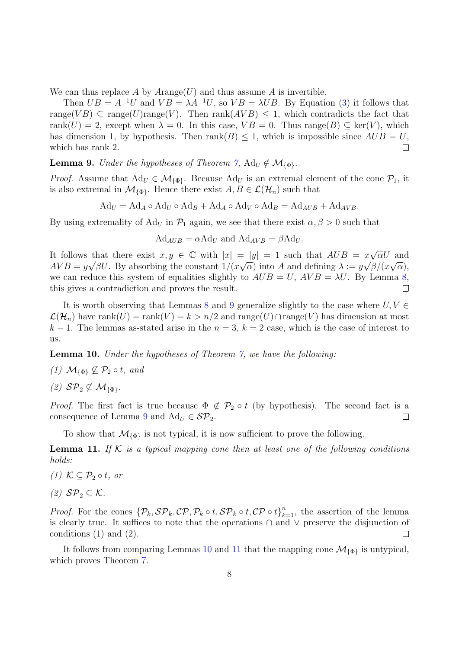We can thus replace A by  $A \text{range}(U)$  and thus assume A is invertible.

Then  $UB = A^{-1}U$  and  $VB = \lambda A^{-1}U$ , so  $VB = \lambda UB$ . By Equation [\(3\)](#page-6-1) it follows that range(VB)  $\subset \text{range}(U)$ range(V). Then rank(AVB)  $\leq 1$ , which contradicts the fact that rank $(U) = 2$ , except when  $\lambda = 0$ . In this case,  $VB = 0$ . Thus range $(B) \subset \text{ker}(V)$ , which has dimension 1, by hypothesis. Then rank( $B$ )  $\leq$  1, which is impossible since  $AUB = U$ , which has rank 2.  $\Box$ 

<span id="page-7-0"></span>**Lemma 9.** Under the hypotheses of Theorem [7,](#page-6-0)  $\text{Ad}_U \notin \mathcal{M}_{\{\Phi\}}$ .

*Proof.* Assume that  $\text{Ad}_U \in \mathcal{M}_{\{\Phi\}}$ . Because  $\text{Ad}_U$  is an extremal element of the cone  $\mathcal{P}_1$ , it is also extremal in  $\mathcal{M}_{\{\Phi\}}$ . Hence there exist  $A, B \in \mathcal{L}(\mathcal{H}_n)$  such that

$$
Ad_U = Ad_A \circ Ad_U \circ Ad_B + Ad_A \circ Ad_V \circ Ad_B = Ad_{AUB} + Ad_{AVB}.
$$

By using extremality of Ad<sub>U</sub> in  $\mathcal{P}_1$  again, we see that there exist  $\alpha, \beta > 0$  such that

$$
Ad_{AUB} = \alpha A d_U \text{ and } Ad_{AVB} = \beta A d_U.
$$

It follows that there exist  $x, y \in \mathbb{C}$  with  $|x| = |y| = 1$  such that  $AUB = x\sqrt{ }$ that there exist  $x, y \in \mathbb{C}$  with  $|x| = |y| = 1$  such that  $AUB = x\sqrt{\alpha}U$  and  $AVB = y\sqrt{\beta}U$ . By absorbing the constant  $1/(x\sqrt{\alpha})$  into A and defining  $\lambda := y\sqrt{\beta}/(x\sqrt{\alpha})$ , we can reduce this system of equalities slightly to  $AUB = U$ ,  $AVB = \lambda U$ . By Lemma [8,](#page-6-2) this gives a contradiction and proves the result.  $\Box$ 

It is worth observing that Lemmas [8](#page-6-2) and [9](#page-7-0) generalize slightly to the case where  $U, V \in$  $\mathcal{L}(\mathcal{H}_n)$  have rank $(U) = \text{rank}(V) = k > n/2$  and range $(U) \cap \text{range}(V)$  has dimension at most  $k-1$ . The lemmas as-stated arise in the  $n=3$ ,  $k=2$  case, which is the case of interest to us.

<span id="page-7-1"></span>Lemma 10. Under the hypotheses of Theorem [7,](#page-6-0) we have the following:

- (1)  $\mathcal{M}_{\{\Phi\}} \nsubseteq \mathcal{P}_2 \circ t$ , and
- (2)  $\mathcal{SP}_2 \not\subseteq \mathcal{M}_{\{\Phi\}}$ .

*Proof.* The first fact is true because  $\Phi \notin \mathcal{P}_2 \circ t$  (by hypothesis). The second fact is a consequence of Lemma [9](#page-7-0) and  $\text{Ad}_U \in \mathcal{SP}_2$ .  $\Box$ 

To show that  $\mathcal{M}_{\{\Phi\}}$  is not typical, it is now sufficient to prove the following.

<span id="page-7-2"></span>**Lemma 11.** If  $K$  is a typical mapping cone then at least one of the following conditions holds:

- (1)  $K \subseteq \mathcal{P}_2 \circ t$ , or
- (2)  $\mathcal{SP}_2 \subseteq \mathcal{K}$ .

*Proof.* For the cones  $\{\mathcal{P}_k, \mathcal{SP}_k, \mathcal{CP}, \mathcal{P}_k \circ t, \mathcal{SP}_k \circ t, \mathcal{CP} \circ t\}_{k=1}^n$ , the assertion of the lemma is clearly true. It suffices to note that the operations ∩ and ∨ preserve the disjunction of conditions (1) and (2).  $\Box$ 

It follows from comparing Lemmas [10](#page-7-1) and [11](#page-7-2) that the mapping cone  $\mathcal{M}_{\{\Phi\}}$  is untypical, which proves Theorem [7.](#page-6-0)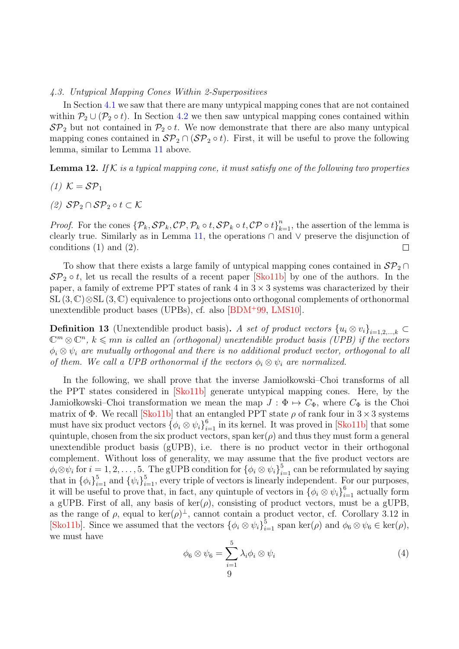#### 4.3. Untypical Mapping Cones Within 2-Superpositives

In Section [4.1](#page-5-2) we saw that there are many untypical mapping cones that are not contained within  $P_2 \cup (P_2 \circ t)$ . In Section [4.2](#page-6-3) we then saw untypical mapping cones contained within  $\mathcal{SP}_2$  but not contained in  $\mathcal{P}_2 \circ t$ . We now demonstrate that there are also many untypical mapping cones contained in  $\mathcal{SP}_2 \cap (\mathcal{SP}_2 \circ t)$ . First, it will be useful to prove the following lemma, similar to Lemma [11](#page-7-2) above.

## <span id="page-8-0"></span>**Lemma 12.** If K is a typical mapping cone, it must satisfy one of the following two properties

- (1)  $K = \mathcal{SP}_1$
- (2)  $\mathcal{SP}_2 \cap \mathcal{SP}_2 \circ t \subset \mathcal{K}$

*Proof.* For the cones  $\{\mathcal{P}_k, \mathcal{SP}_k, \mathcal{CP}, \mathcal{P}_k \circ t, \mathcal{SP}_k \circ t, \mathcal{CP} \circ t\}_{k=1}^n$ , the assertion of the lemma is clearly true. Similarly as in Lemma [11,](#page-7-2) the operations  $\cap$  and  $\vee$  preserve the disjunction of conditions (1) and (2).  $\Box$ 

To show that there exists a large family of untypical mapping cones contained in  $\mathcal{SP}_2 \cap$  $\mathcal{SP}_2 \circ t$ , let us recall the results of a recent paper [\[Sko11b\]](#page-16-22) by one of the authors. In the paper, a family of extreme PPT states of rank 4 in  $3 \times 3$  systems was characterized by their SL (3, C)⊗SL (3, C) equivalence to projections onto orthogonal complements of orthonormal unextendible product bases (UPBs), cf. also [\[BDM](#page-15-2)<sup>+</sup>99, [LMS10\]](#page-16-23).

**Definition 13** (Unextendible product basis). A set of product vectors  ${u_i \otimes v_i}_{i=1,2,\dots,k}$  $\mathbb{C}^m \otimes \mathbb{C}^n$ ,  $k \leq m$  is called an (orthogonal) unextendible product basis (UPB) if the vectors  $\phi_i \otimes \psi_i$  are mutually orthogonal and there is no additional product vector, orthogonal to all of them. We call a UPB orthonormal if the vectors  $\phi_i \otimes \psi_i$  are normalized.

In the following, we shall prove that the inverse Jamio kowski–Choi transforms of all the PPT states considered in [\[Sko11b\]](#page-16-22) generate untypical mapping cones. Here, by the Jamiołkowski–Choi transformation we mean the map  $J : \Phi \mapsto C_{\Phi}$ , where  $C_{\Phi}$  is the Choi matrix of  $\Phi$ . We recall [\[Sko11b\]](#page-16-22) that an entangled PPT state  $\rho$  of rank four in  $3 \times 3$  systems must have six product vectors  $\{\phi_i \otimes \psi_i\}_{i=1}^6$  in its kernel. It was proved in [\[Sko11b\]](#page-16-22) that some quintuple, chosen from the six product vectors, span ker( $\rho$ ) and thus they must form a general unextendible product basis (gUPB), i.e. there is no product vector in their orthogonal complement. Without loss of generality, we may assume that the five product vectors are  $\phi_i \otimes \psi_i$  for  $i = 1, 2, \ldots, 5$ . The gUPB condition for  $\{\phi_i \otimes \psi_i\}_{i=1}^5$  can be reformulated by saying that in  $\{\phi_i\}_{i=1}^5$  and  $\{\psi_i\}_{i=1}^5$ , every triple of vectors is linearly independent. For our purposes, it will be useful to prove that, in fact, any quintuple of vectors in  $\{\phi_i \otimes \psi_i\}_{i=1}^6$  actually form a gUPB. First of all, any basis of  $\text{ker}(\rho)$ , consisting of product vectors, must be a gUPB, as the range of  $\rho$ , equal to ker $(\rho)^{\perp}$ , cannot contain a product vector, cf. Corollary 3.12 in [\[Sko11b\]](#page-16-22). Since we assumed that the vectors  $\{\phi_i \otimes \psi_i\}_{i=1}^5$  span ker( $\rho$ ) and  $\phi_6 \otimes \psi_6 \in \text{ker}(\rho)$ , we must have

$$
\phi_6 \otimes \psi_6 = \sum_{i=1}^5 \lambda_i \phi_i \otimes \psi_i
$$
\n<sup>(4)</sup>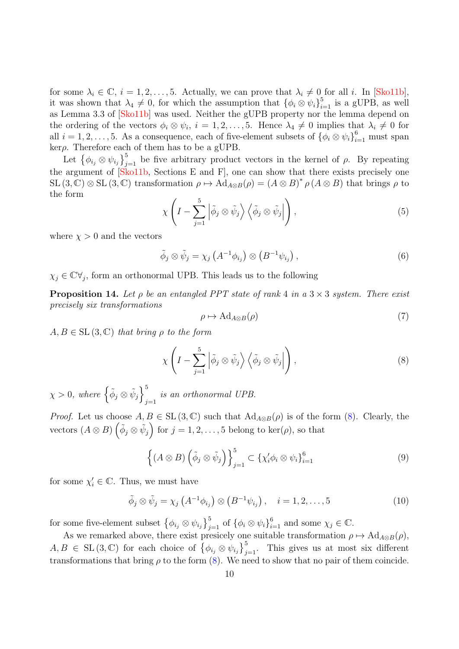for some  $\lambda_i \in \mathbb{C}$ ,  $i = 1, 2, \ldots, 5$ . Actually, we can prove that  $\lambda_i \neq 0$  for all i. In [\[Sko11b\]](#page-16-22), it was shown that  $\lambda_4 \neq 0$ , for which the assumption that  ${\lbrace \phi_i \otimes \psi_i \rbrace}_{i=1}^5$  is a gUPB, as well as Lemma 3.3 of [\[Sko11b\]](#page-16-22) was used. Neither the gUPB property nor the lemma depend on the ordering of the vectors  $\phi_i \otimes \psi_i$ ,  $i = 1, 2, ..., 5$ . Hence  $\lambda_4 \neq 0$  implies that  $\lambda_i \neq 0$  for all  $i = 1, 2, \ldots, 5$ . As a consequence, each of five-element subsets of  $\{\phi_i \otimes \psi_i\}_{i=1}^6$  must span  $\mathrm{ker}\rho.$  Therefore each of them has to be a gUPB.

Let  $\{\phi_{i_j} \otimes \psi_{i_j}\}_{j=1}^5$  be five arbitrary product vectors in the kernel of  $\rho$ . By repeating the argument of [\[Sko11b,](#page-16-22) Sections E and F], one can show that there exists precisely one SL  $(3, \mathbb{C}) \otimes$  SL  $(3, \mathbb{C})$  transformation  $\rho \mapsto \mathrm{Ad}_{A \otimes B}(\rho) = (A \otimes B)^* \rho (A \otimes B)$  that brings  $\rho$  to the form

$$
\chi\left(I - \sum_{j=1}^{5} \left| \tilde{\phi}_j \otimes \tilde{\psi}_j \right\rangle \left\langle \tilde{\phi}_j \otimes \tilde{\psi}_j \right| \right),\tag{5}
$$

where  $\chi > 0$  and the vectors

$$
\tilde{\phi}_j \otimes \tilde{\psi}_j = \chi_j \left( A^{-1} \phi_{i_j} \right) \otimes \left( B^{-1} \psi_{i_j} \right), \tag{6}
$$

 $\chi_j \in \mathbb{C} \forall_j$ , form an orthonormal UPB. This leads us to the following

<span id="page-9-1"></span>**Proposition 14.** Let  $\rho$  be an entangled PPT state of rank 4 in a 3  $\times$  3 system. There exist precisely six transformations

$$
\rho \mapsto \mathrm{Ad}_{A \otimes B}(\rho) \tag{7}
$$

 $A, B \in SL(3, \mathbb{C})$  that bring  $\rho$  to the form

<span id="page-9-0"></span>
$$
\chi\left(I - \sum_{j=1}^{5} \left| \tilde{\phi}_j \otimes \tilde{\psi}_j \right\rangle \left\langle \tilde{\phi}_j \otimes \tilde{\psi}_j \right| \right),\tag{8}
$$

 $\chi > 0$ , where  $\left\{ \tilde{\phi}_j \otimes \tilde{\psi}_j \right\}^5$ is an orthonormal UPB.

*Proof.* Let us choose  $A, B \in SL(3, \mathbb{C})$  such that  $\text{Ad}_{A \otimes B}(\rho)$  is of the form [\(8\)](#page-9-0). Clearly, the vectors  $(A \otimes B) \left( \tilde{\phi}_j \otimes \tilde{\psi}_j \right)$  for  $j = 1, 2, \ldots, 5$  belong to ker $(\rho)$ , so that

$$
\left\{ (A \otimes B) \left( \tilde{\phi}_j \otimes \tilde{\psi}_j \right) \right\}_{j=1}^5 \subset \left\{ \chi'_i \phi_i \otimes \psi_i \right\}_{i=1}^6 \tag{9}
$$

for some  $\chi'_i \in \mathbb{C}$ . Thus, we must have

$$
\tilde{\phi}_j \otimes \tilde{\psi}_j = \chi_j \left( A^{-1} \phi_{i_j} \right) \otimes \left( B^{-1} \psi_{i_j} \right), \quad i = 1, 2, \dots, 5 \tag{10}
$$

for some five-element subset  $\{\phi_{i_j} \otimes \psi_{i_j}\}_{j=1}^5$  of  $\{\phi_i \otimes \psi_i\}_{i=1}^6$  and some  $\chi_j \in \mathbb{C}$ .

As we remarked above, there exist presicely one suitable transformation  $\rho \mapsto \text{Ad}_{A\otimes B}(\rho)$ ,  $A, B \in SL(3, \mathbb{C})$  for each choice of  $\{\phi_{i_j} \otimes \psi_{i_j}\}_{j=1}^5$ . This gives us at most six different transformations that bring  $\rho$  to the form [\(8\)](#page-9-0). We need to show that no pair of them coincide.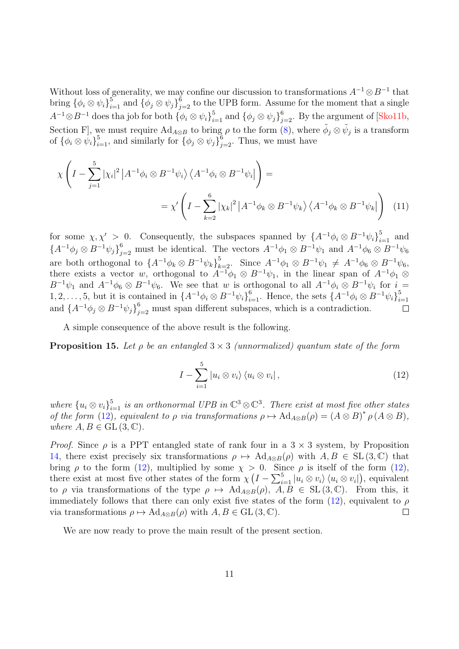Without loss of generality, we may confine our discussion to transformations  $A^{-1} \otimes B^{-1}$  that bring  $\{\phi_i \otimes \psi_i\}_{i=1}^5$  and  $\{\phi_j \otimes \psi_j\}_{j=2}^6$  to the UPB form. Assume for the moment that a single  $A^{-1}\otimes B^{-1}$  does tha job for both  $\{\phi_i\otimes \psi_i\}_{i=1}^5$  and  $\{\phi_j\otimes \psi_j\}_{j=2}^6$ . By the argument of [\[Sko11b,](#page-16-22) Section F, we must require  $Ad_{A\otimes B}$  to bring  $\rho$  to the form [\(8\)](#page-9-0), where  $\tilde{\phi}_j\otimes \tilde{\psi}_j$  is a transform of  ${\{\phi_i \otimes \psi_i\}}_{i=1}^5$ , and similarly for  ${\{\phi_j \otimes \psi_j\}}_{j=2}^6$ . Thus, we must have

$$
\chi \left( I - \sum_{j=1}^{5} |\chi_i|^2 |A^{-1} \phi_i \otimes B^{-1} \psi_i \rangle \langle A^{-1} \phi_i \otimes B^{-1} \psi_i | \right) =
$$
  

$$
= \chi' \left( I - \sum_{k=2}^{6} |\chi_k|^2 |A^{-1} \phi_k \otimes B^{-1} \psi_k \rangle \langle A^{-1} \phi_k \otimes B^{-1} \psi_k | \right) \tag{11}
$$

for some  $\chi, \chi' > 0$ . Consequently, the subspaces spanned by  $\{A^{-1}\phi_i \otimes B^{-1}\psi_i\}_{i=1}^5$  and  ${A^{-1}\phi_j \otimes B^{-1}\psi_j}_{j=2}^6$  must be identical. The vectors  $A^{-1}\phi_1 \otimes B^{-1}\psi_1$  and  $A^{-1}\phi_6 \otimes B^{-1}\psi_6$ are both orthogonal to  $\{A^{-1}\phi_k\otimes B^{-1}\psi_k\}_{k=2}^5$ . Since  $A^{-1}\phi_1\otimes B^{-1}\psi_1 \neq A^{-1}\phi_6\otimes B^{-1}\psi_6$ , there exists a vector w, orthogonal to  $A^{-1}\phi_1 \otimes B^{-1}\psi_1$ , in the linear span of  $A^{-1}\phi_1 \otimes$  $B^{-1}\psi_1$  and  $A^{-1}\phi_6 \otimes B^{-1}\psi_6$ . We see that w is orthogonal to all  $A^{-1}\phi_i \otimes B^{-1}\psi_i$  for  $i =$ 1, 2, ..., 5, but it is contained in  $\{A^{-1}\phi_i\otimes B^{-1}\psi_i\}_{i=1}^6$ . Hence, the sets  $\{A^{-1}\phi_i\otimes B^{-1}\psi_i\}_{i=1}^5$  $i=1$ and  $\{A^{-1}\phi_j\otimes B^{-1}\psi_j\}_{j=2}^6$  must span different subspaces, which is a contradiction.  $\Box$ 

A simple consequence of the above result is the following.

<span id="page-10-1"></span>**Proposition 15.** Let  $\rho$  be an entangled  $3 \times 3$  (unnormalized) quantum state of the form

<span id="page-10-0"></span>
$$
I - \sum_{i=1}^{5} |u_i \otimes v_i\rangle \langle u_i \otimes v_i|, \qquad (12)
$$

where  ${u_i \otimes v_i}_{i=1}^5$  is an orthonormal UPB in  $\mathbb{C}^3 \otimes \mathbb{C}^3$ . There exist at most five other states of the form [\(12\)](#page-10-0), equivalent to  $\rho$  via transformations  $\rho \mapsto \text{Ad}_{A\otimes B}(\rho) = (A\otimes B)^* \rho (A\otimes B)$ , where  $A, B \in GL(3, \mathbb{C})$ .

*Proof.* Since  $\rho$  is a PPT entangled state of rank four in a 3  $\times$  3 system, by Proposition [14,](#page-9-1) there exist precisely six transformations  $\rho \mapsto \text{Ad}_{A\otimes B}(\rho)$  with  $A, B \in SL(3, \mathbb{C})$  that bring  $\rho$  to the form [\(12\)](#page-10-0), multiplied by some  $\chi > 0$ . Since  $\rho$  is itself of the form (12), there exist at most five other states of the form  $\chi\left(I-\sum_{i=1}^{5}|u_i\otimes v_i\rangle\langle u_i\otimes v_i|\right)$ , equivalent to  $\rho$  via transformations of the type  $\rho \mapsto \text{Ad}_{A\otimes B}(\rho)$ ,  $\overline{A}, \overline{B} \in SL(3, \mathbb{C})$ . From this, it immediately follows that there can only exist five states of the form  $(12)$ , equivalent to  $\rho$ via transformations  $\rho \mapsto \text{Ad}_{A \otimes B}(\rho)$  with  $A, B \in \text{GL}(3, \mathbb{C})$ .  $\Box$ 

We are now ready to prove the main result of the present section.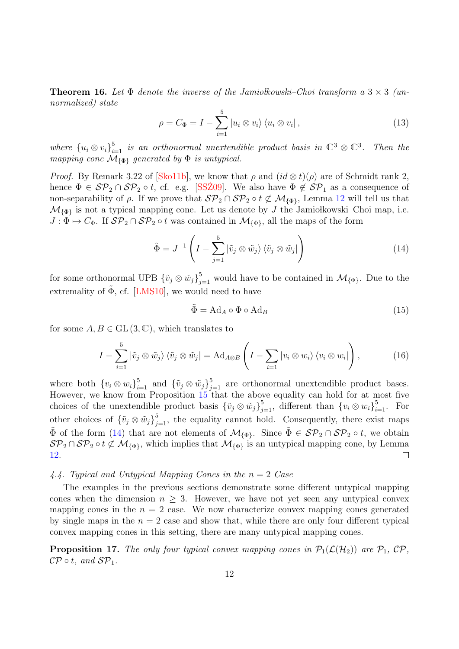**Theorem 16.** Let  $\Phi$  denote the inverse of the Jamiolkowski–Choi transform a  $3 \times 3$  (unnormalized) state

$$
\rho = C_{\Phi} = I - \sum_{i=1}^{5} |u_i \otimes v_i\rangle \langle u_i \otimes v_i|,
$$
\n(13)

where  ${u_i \otimes v_i}_{i=1}^5$  is an orthonormal unextendible product basis in  $\mathbb{C}^3 \otimes \mathbb{C}^3$ . Then the mapping cone  $\mathcal{M}_{\{\Phi\}}$  generated by  $\Phi$  is untypical.

*Proof.* By Remark 3.22 of [\[Sko11b\]](#page-16-22), we know that  $\rho$  and  $(id \otimes t)(\rho)$  are of Schmidt rank 2, hence  $\Phi \in \mathcal{SP}_2 \cap \mathcal{SP}_2 \circ t$ , cf. e.g. [\[SSZ09](#page-17-1)]. We also have  $\Phi \notin \mathcal{SP}_1$  as a consequence of non-separability of  $\rho$ . If we prove that  $\mathcal{SP}_2 \cap \mathcal{SP}_2 \circ t \not\subset \mathcal{M}_{\{\Phi\}}$ , Lemma [12](#page-8-0) will tell us that  $\mathcal{M}_{\{\Phi\}}$  is not a typical mapping cone. Let us denote by J the Jamiołkowski–Choi map, i.e.  $J: \Phi \mapsto C_{\Phi}$ . If  $\mathcal{SP}_2 \cap \mathcal{SP}_2$   $\circ t$  was contained in  $\mathcal{M}_{\{\Phi\}}$ , all the maps of the form

<span id="page-11-0"></span>
$$
\tilde{\Phi} = J^{-1} \left( I - \sum_{j=1}^{5} |\tilde{v}_j \otimes \tilde{w}_j\rangle \langle \tilde{v}_j \otimes \tilde{w}_j| \right) \tag{14}
$$

for some orthonormal UPB  $\{\tilde{v}_j \otimes \tilde{w}_j\}_{j=1}^5$  would have to be contained in  $\mathcal{M}_{\{\Phi\}}$ . Due to the extremality of  $\tilde{\Phi}$ , cf. [[LMS10\]](#page-16-23), we would need to have

$$
\tilde{\Phi} = \text{Ad}_A \circ \Phi \circ \text{Ad}_B \tag{15}
$$

for some  $A, B \in GL(3, \mathbb{C})$ , which translates to

$$
I - \sum_{i=1}^{5} |\tilde{v}_j \otimes \tilde{w}_j\rangle \langle \tilde{v}_j \otimes \tilde{w}_j| = \mathrm{Ad}_{A \otimes B} \left( I - \sum_{i=1} |v_i \otimes w_i\rangle \langle v_i \otimes w_i| \right), \tag{16}
$$

where both  $\{v_i \otimes w_i\}_{i=1}^5$  and  $\{\tilde{v}_j \otimes \tilde{w}_j\}_{j=1}^5$  are orthonormal unextendible product bases. However, we know from Proposition [15](#page-10-1) that the above equality can hold for at most five choices of the unextendible product basis  $\{\tilde{v}_j \otimes \tilde{w}_j\}_{j=1}^5$ , different than  $\{v_i \otimes w_i\}_{i=1}^5$ . For other choices of  $\{\tilde{v}_j \otimes \tilde{w}_j\}_{j=1}^5$ , the equality cannot hold. Consequently, there exist maps  $\tilde{\Phi}$  of the form ([14\)](#page-11-0) that are not elements of  $\mathcal{M}_{\{\Phi\}}$ . Since  $\tilde{\Phi} \in \mathcal{SP}_2 \cap \mathcal{SP}_2 \circ t$ , we obtain  $\mathcal{SP}_2 \cap \mathcal{SP}_2 \circ t \not\subset \mathcal{M}_{\{\Phi\}}$ , which implies that  $\mathcal{M}_{\{\Phi\}}$  is an untypical mapping cone, by Lemma [12.](#page-8-0)  $\Box$ 

4.4. Typical and Untypical Mapping Cones in the  $n = 2$  Case

The examples in the previous sections demonstrate some different untypical mapping cones when the dimension  $n \geq 3$ . However, we have not yet seen any untypical convex mapping cones in the  $n = 2$  case. We now characterize convex mapping cones generated by single maps in the  $n = 2$  case and show that, while there are only four different typical convex mapping cones in this setting, there are many untypical mapping cones.

**Proposition 17.** The only four typical convex mapping cones in  $\mathcal{P}_1(\mathcal{L}(\mathcal{H}_2))$  are  $\mathcal{P}_1$ ,  $\mathcal{CP}$ ,  $\mathcal{CP} \circ t$ , and  $\mathcal{SP}_1$ .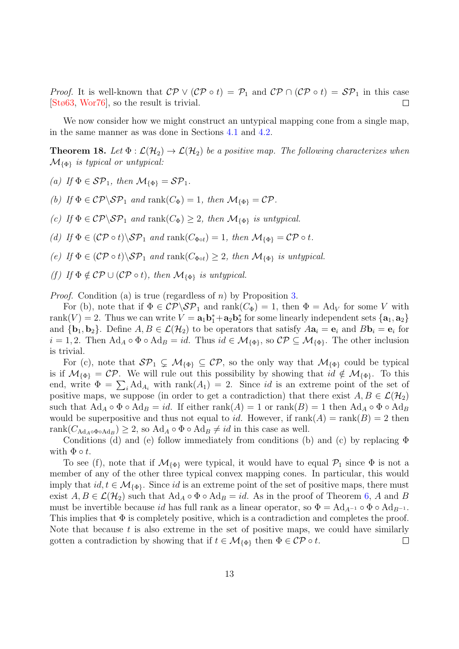*Proof.* It is well-known that  $\mathcal{CP} \vee (\mathcal{CP} \circ t) = \mathcal{P}_1$  and  $\mathcal{CP} \cap (\mathcal{CP} \circ t) = \mathcal{SP}_1$  in this case [\[Stø63,](#page-17-7) [Wor76\]](#page-17-8), so the result is trivial.  $\Box$ 

We now consider how we might construct an untypical mapping cone from a single map, in the same manner as was done in Sections [4.1](#page-5-2) and [4.2.](#page-6-3)

**Theorem 18.** Let  $\Phi : \mathcal{L}(\mathcal{H}_2) \to \mathcal{L}(\mathcal{H}_2)$  be a positive map. The following characterizes when  $\mathcal{M}_{\{\Phi\}}$  is typical or untypical:

- (a) If  $\Phi \in \mathcal{SP}_1$ , then  $\mathcal{M}_{\{\Phi\}} = \mathcal{SP}_1$ .
- (b) If  $\Phi \in \mathcal{CP}\backslash \mathcal{SP}_1$  and rank $(C_{\Phi}) = 1$ , then  $\mathcal{M}_{\{\Phi\}} = \mathcal{CP}$ .
- (c) If  $\Phi \in \mathcal{CP}\backslash \mathcal{SP}_1$  and rank $(C_{\Phi}) \geq 2$ , then  $\mathcal{M}_{\{\Phi\}}$  is untypical.
- (d) If  $\Phi \in (\mathcal{CP} \circ t) \backslash \mathcal{SP}_1$  and rank $(C_{\Phi \circ t}) = 1$ , then  $\mathcal{M}_{\{\Phi\}} = \mathcal{CP} \circ t$ .
- (e) If  $\Phi \in (C\mathcal{P} \circ t) \backslash \mathcal{SP}_1$  and rank $(C_{\Phi \circ t}) \geq 2$ , then  $\mathcal{M}_{\{\Phi\}}$  is untypical.
- (f) If  $\Phi \notin \mathcal{CP} \cup (\mathcal{CP} \circ t)$ , then  $\mathcal{M}_{\{\Phi\}}$  is untypical.

*Proof.* Condition (a) is true (regardless of n) by Proposition [3.](#page-4-0)

For (b), note that if  $\Phi \in \mathcal{CP}\backslash \mathcal{SP}_1$  and rank $(C_{\Phi}) = 1$ , then  $\Phi = \text{Ad}_V$  for some V with rank $(V) = 2$ . Thus we can write  $V = \mathbf{a}_1 \mathbf{b}_1^* + \mathbf{a}_2 \mathbf{b}_2^*$  for some linearly independent sets  $\{\mathbf{a}_1, \mathbf{a}_2\}$ and  $\{b_1, b_2\}$ . Define  $A, B \in \mathcal{L}(\mathcal{H}_2)$  to be operators that satisfy  $Aa_i = e_i$  and  $Bb_i = e_i$  for  $i = 1, 2$ . Then Ad<sub>A</sub> ∘  $\Phi \circ \text{Ad}_B = id$ . Thus  $id \in \mathcal{M}_{\{\Phi\}}$ , so  $\mathcal{CP} \subseteq \mathcal{M}_{\{\Phi\}}$ . The other inclusion is trivial.

For (c), note that  $\mathcal{SP}_1 \subsetneq \mathcal{M}_{\{\Phi\}} \subseteq \mathcal{CP}$ , so the only way that  $\mathcal{M}_{\{\Phi\}}$  could be typical is if  $\mathcal{M}_{\{\Phi\}} = \mathcal{CP}$ . We will rule out this possibility by showing that  $id \notin \mathcal{M}_{\{\Phi\}}$ . To this end, write  $\Phi = \sum_i \text{Ad}_{A_i}$  with rank $(A_1) = 2$ . Since id is an extreme point of the set of positive maps, we suppose (in order to get a contradiction) that there exist  $A, B \in \mathcal{L}(\mathcal{H}_2)$ such that  $\text{Ad}_A \circ \Phi \circ \text{Ad}_B = id$ . If either  $\text{rank}(A) = 1$  or  $\text{rank}(B) = 1$  then  $\text{Ad}_A \circ \Phi \circ \text{Ad}_B$ would be superpositive and thus not equal to id. However, if  $rank(A) = rank(B) = 2$  then rank $(C_{\text{Ad}_A \circ \Phi \circ \text{Ad}_B}) \geq 2$ , so  $\text{Ad}_A \circ \Phi \circ \text{Ad}_B \neq id$  in this case as well.

Conditions (d) and (e) follow immediately from conditions (b) and (c) by replacing  $\Phi$ with  $\Phi \circ t$ .

To see (f), note that if  $\mathcal{M}_{\{\Phi\}}$  were typical, it would have to equal  $\mathcal{P}_1$  since  $\Phi$  is not a member of any of the other three typical convex mapping cones. In particular, this would imply that  $id, t \in \mathcal{M}_{\{\Phi\}}$ . Since id is an extreme point of the set of positive maps, there must exist  $A, B \in \mathcal{L}(\mathcal{H}_2)$  such that  $\text{Ad}_A \circ \Phi \circ \text{Ad}_B = id$ . As in the proof of Theorem [6,](#page-5-1) A and B must be invertible because id has full rank as a linear operator, so  $\Phi = \text{Ad}_{A^{-1}} \circ \Phi \circ \text{Ad}_{B^{-1}}$ . This implies that  $\Phi$  is completely positive, which is a contradiction and completes the proof. Note that because  $t$  is also extreme in the set of positive maps, we could have similarly gotten a contradiction by showing that if  $t \in \mathcal{M}_{\{\Phi\}}$  then  $\Phi \in \mathcal{CP} \circ t$ .  $\Box$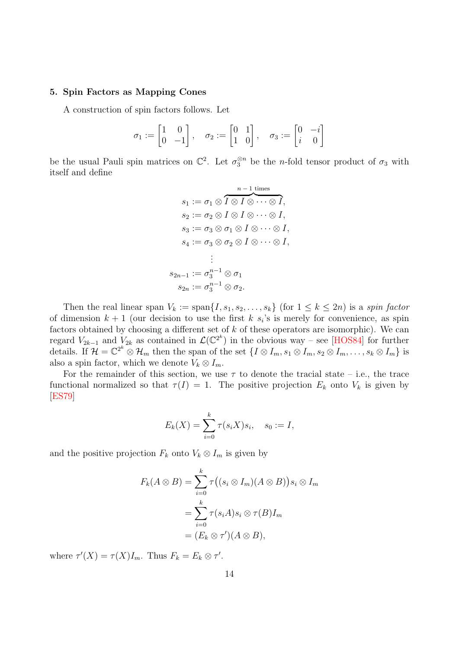# <span id="page-13-0"></span>5. Spin Factors as Mapping Cones

A construction of spin factors follows. Let

$$
\sigma_1 := \begin{bmatrix} 1 & 0 \\ 0 & -1 \end{bmatrix}, \quad \sigma_2 := \begin{bmatrix} 0 & 1 \\ 1 & 0 \end{bmatrix}, \quad \sigma_3 := \begin{bmatrix} 0 & -i \\ i & 0 \end{bmatrix}
$$

be the usual Pauli spin matrices on  $\mathbb{C}^2$ . Let  $\sigma_3^{\otimes n}$  be the *n*-fold tensor product of  $\sigma_3$  with itself and define

$$
s_1 := \sigma_1 \otimes \overbrace{I \otimes I \otimes \cdots \otimes I}^{n-1 \text{ times}},
$$
  
\n
$$
s_2 := \sigma_2 \otimes I \otimes I \otimes \cdots \otimes I,
$$
  
\n
$$
s_3 := \sigma_3 \otimes \sigma_1 \otimes I \otimes \cdots \otimes I,
$$
  
\n
$$
s_4 := \sigma_3 \otimes \sigma_2 \otimes I \otimes \cdots \otimes I,
$$
  
\n
$$
\vdots
$$
  
\n
$$
s_{2n-1} := \sigma_3^{n-1} \otimes \sigma_1
$$
  
\n
$$
s_{2n} := \sigma_3^{n-1} \otimes \sigma_2.
$$

Then the real linear span  $V_k := \text{span}\{I, s_1, s_2, \ldots, s_k\}$  (for  $1 \leq k \leq 2n$ ) is a spin factor of dimension  $k+1$  (our decision to use the first k  $s_i$ 's is merely for convenience, as spin factors obtained by choosing a different set of  $k$  of these operators are isomorphic). We can regard  $V_{2k-1}$  and  $V_{2k}$  as contained in  $\mathcal{L}(\mathbb{C}^{2^k})$  in the obvious way – see [\[HOS84\]](#page-16-24) for further details. If  $\mathcal{H} = \mathbb{C}^{2^k} \otimes \mathcal{H}_m$  then the span of the set  $\{I \otimes I_m, s_1 \otimes I_m, s_2 \otimes I_m, \ldots, s_k \otimes I_m\}$  is also a spin factor, which we denote  $V_k \otimes I_m$ .

For the remainder of this section, we use  $\tau$  to denote the tracial state – i.e., the trace functional normalized so that  $\tau(I) = 1$ . The positive projection  $E_k$  onto  $V_k$  is given by [\[ES79\]](#page-16-25)

$$
E_k(X) = \sum_{i=0}^k \tau(s_i X) s_i, \quad s_0 := I,
$$

and the positive projection  $F_k$  onto  $V_k \otimes I_m$  is given by

$$
F_k(A \otimes B) = \sum_{i=0}^k \tau((s_i \otimes I_m)(A \otimes B))s_i \otimes I_m
$$
  
= 
$$
\sum_{i=0}^k \tau(s_i A)s_i \otimes \tau(B)I_m
$$
  
= 
$$
(E_k \otimes \tau')(A \otimes B),
$$

where  $\tau'(X) = \tau(X)I_m$ . Thus  $F_k = E_k \otimes \tau'$ .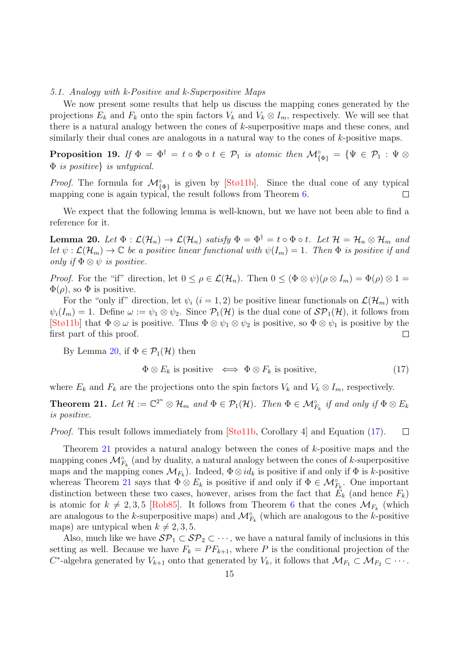#### 5.1. Analogy with k-Positive and k-Superpositive Maps

We now present some results that help us discuss the mapping cones generated by the projections  $E_k$  and  $F_k$  onto the spin factors  $V_k$  and  $V_k \otimes I_m$ , respectively. We will see that there is a natural analogy between the cones of  $k$ -superpositive maps and these cones, and similarly their dual cones are analogous in a natural way to the cones of  $k$ -positive maps.

**Proposition 19.** If  $\Phi = \Phi^{\dagger} = t \circ \Phi \circ t \in \mathcal{P}_1$  is atomic then  $\mathcal{M}^{\circ}_{\{\Phi\}} = \{\Psi \in \mathcal{P}_1 : \Psi \otimes$ Φ is positive} is untypical.

*Proof.* The formula for  $\mathcal{M}_{\{\Phi\}}^{\circ}$  is given by [\[Stø11b\]](#page-17-9). Since the dual cone of any typical mapping cone is again typical, the result follows from Theorem [6.](#page-5-1)  $\Box$ 

We expect that the following lemma is well-known, but we have not been able to find a reference for it.

<span id="page-14-0"></span>**Lemma 20.** Let  $\Phi : \mathcal{L}(\mathcal{H}_n) \to \mathcal{L}(\mathcal{H}_n)$  satisfy  $\Phi = \Phi^{\dagger} = t \circ \Phi \circ t$ . Let  $\mathcal{H} = \mathcal{H}_n \otimes \mathcal{H}_m$  and let  $\psi : \mathcal{L}(\mathcal{H}_m) \to \mathbb{C}$  be a positive linear functional with  $\psi(I_m) = 1$ . Then  $\Phi$  is positive if and only if  $\Phi \otimes \psi$  is positive.

*Proof.* For the "if" direction, let  $0 \leq \rho \in \mathcal{L}(\mathcal{H}_n)$ . Then  $0 \leq (\Phi \otimes \psi)(\rho \otimes I_m) = \Phi(\rho) \otimes 1 =$  $\Phi(\rho)$ , so  $\Phi$  is positive.

For the "only if" direction, let  $\psi_i$  (i = 1, 2) be positive linear functionals on  $\mathcal{L}(\mathcal{H}_m)$  with  $\psi_i(I_m) = 1$ . Define  $\omega := \psi_1 \otimes \psi_2$ . Since  $\mathcal{P}_1(\mathcal{H})$  is the dual cone of  $\mathcal{SP}_1(\mathcal{H})$ , it follows from [\[Stø11b\]](#page-17-9) that  $\Phi \otimes \omega$  is positive. Thus  $\Phi \otimes \psi_1 \otimes \psi_2$  is positive, so  $\Phi \otimes \psi_1$  is positive by the first part of this proof.  $\Box$ 

By Lemma [20,](#page-14-0) if  $\Phi \in \mathcal{P}_1(\mathcal{H})$  then

<span id="page-14-1"></span>
$$
\Phi \otimes E_k \text{ is positive } \iff \Phi \otimes F_k \text{ is positive, } \tag{17}
$$

where  $E_k$  and  $F_k$  are the projections onto the spin factors  $V_k$  and  $V_k \otimes I_m$ , respectively.

<span id="page-14-2"></span>**Theorem 21.** Let  $\mathcal{H} := \mathbb{C}^{2^n} \otimes \mathcal{H}_m$  and  $\Phi \in \mathcal{P}_1(\mathcal{H})$ . Then  $\Phi \in \mathcal{M}_{F_k}^{\circ}$  if and only if  $\Phi \otimes E_k$ is positive.

Proof. This result follows immediately from [\[Stø11b,](#page-17-9) Corollary 4] and Equation [\(17\)](#page-14-1).  $\Box$ 

Theorem [21](#page-14-2) provides a natural analogy between the cones of k-positive maps and the mapping cones  $\mathcal{M}_{F_k}^{\circ}$  (and by duality, a natural analogy between the cones of k-superpositive maps and the mapping cones  $\mathcal{M}_{F_k}$ ). Indeed,  $\Phi \otimes id_k$  is positive if and only if  $\Phi$  is k-positive whereas Theorem [21](#page-14-2) says that  $\Phi \otimes E_k$  is positive if and only if  $\Phi \in \mathcal{M}_{F_k}^{\circ}$ . One important distinction between these two cases, however, arises from the fact that  $E_k$  (and hence  $F_k$ ) is atomic for  $k \neq 2, 3, 5$  [\[Rob85\]](#page-16-26). It follows from Theorem [6](#page-5-1) that the cones  $\mathcal{M}_{F_k}$  (which are analogous to the k-superpositive maps) and  $\mathcal{M}_{F_k}^{\circ}$  (which are analogous to the k-positive maps) are untypical when  $k \neq 2, 3, 5$ .

Also, much like we have  $\mathcal{SP}_1 \subset \mathcal{SP}_2 \subset \cdots$ , we have a natural family of inclusions in this setting as well. Because we have  $F_k = PF_{k+1}$ , where P is the conditional projection of the  $C^*$ -algebra generated by  $V_{k+1}$  onto that generated by  $V_k$ , it follows that  $\mathcal{M}_{F_1} \subset \mathcal{M}_{F_2} \subset \cdots$ .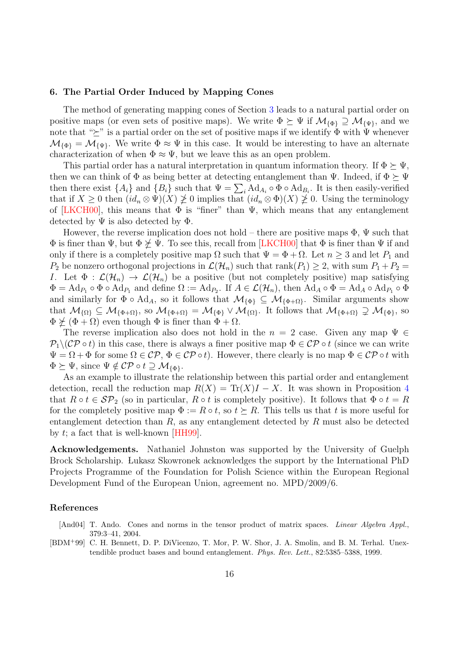#### <span id="page-15-0"></span>6. The Partial Order Induced by Mapping Cones

The method of generating mapping cones of Section [3](#page-3-0) leads to a natural partial order on positive maps (or even sets of positive maps). We write  $\Phi \succeq \Psi$  if  $\mathcal{M}_{\{\Phi\}} \supseteq \mathcal{M}_{\{\Psi\}}$ , and we note that " $\succeq$ " is a partial order on the set of positive maps if we identify  $\Phi$  with  $\Psi$  whenever  $\mathcal{M}_{\{\Phi\}} = \mathcal{M}_{\{\Psi\}}$ . We write  $\Phi \approx \Psi$  in this case. It would be interesting to have an alternate characterization of when  $\Phi \approx \Psi$ , but we leave this as an open problem.

This partial order has a natural interpretation in quantum information theory. If  $\Phi \succeq \Psi$ , then we can think of  $\Phi$  as being better at detecting entanglement than  $\Psi$ . Indeed, if  $\Phi \succeq \Psi$ then there exist  $\{A_i\}$  and  $\{B_i\}$  such that  $\Psi = \sum_i \text{Ad}_{A_i} \circ \Phi \circ \text{Ad}_{B_i}$ . It is then easily-verified that if  $X \geq 0$  then  $(id_n \otimes \Psi)(X) \not\geq 0$  implies that  $(id_n \otimes \Phi)(X) \not\geq 0$ . Using the terminology of [\[LKCH00\]](#page-16-6), this means that  $\Phi$  is "finer" than  $\Psi$ , which means that any entanglement detected by  $\Psi$  is also detected by  $\Phi$ .

However, the reverse implication does not hold – there are positive maps  $\Phi$ ,  $\Psi$  such that  $\Phi$  is finer than  $\Psi$ , but  $\Phi \not\succeq \Psi$ . To see this, recall from [\[LKCH00\]](#page-16-6) that  $\Phi$  is finer than  $\Psi$  if and only if there is a completely positive map  $\Omega$  such that  $\Psi = \Phi + \Omega$ . Let  $n \geq 3$  and let  $P_1$  and  $P_2$  be nonzero orthogonal projections in  $\mathcal{L}(\mathcal{H}_n)$  such that rank $(P_1) \geq 2$ , with sum  $P_1 + P_2 =$ I. Let  $\Phi : \mathcal{L}(\mathcal{H}_n) \to \mathcal{L}(\mathcal{H}_n)$  be a positive (but not completely positive) map satisfying  $\Phi = \text{Ad}_{P_1} \circ \Phi \circ \text{Ad}_{P_1}$  and define  $\Omega := \text{Ad}_{P_2}$ . If  $A \in \mathcal{L}(\mathcal{H}_n)$ , then  $\text{Ad}_A \circ \Phi = \text{Ad}_A \circ \text{Ad}_{P_1} \circ \Phi$ and similarly for  $\Phi \circ \text{Ad}_A$ , so it follows that  $\mathcal{M}_{\{\Phi\}} \subseteq \mathcal{M}_{\{\Phi+\Omega\}}$ . Similar arguments show that  $\mathcal{M}_{\{\Omega\}} \subseteq \mathcal{M}_{\{\Phi+\Omega\}}$ , so  $\mathcal{M}_{\{\Phi+\Omega\}} = \mathcal{M}_{\{\Phi\}} \vee \mathcal{M}_{\{\Omega\}}$ . It follows that  $\mathcal{M}_{\{\Phi+\Omega\}} \supsetneq \mathcal{M}_{\{\Phi\}}$ , so  $\Phi \not\succeq (\Phi + \Omega)$  even though  $\Phi$  is finer than  $\Phi + \Omega$ .

The reverse implication also does not hold in the  $n = 2$  case. Given any map  $\Psi \in$  $P_1 \setminus (\mathcal{CP} \circ t)$  in this case, there is always a finer positive map  $\Phi \in \mathcal{CP} \circ t$  (since we can write  $\Psi = \Omega + \Phi$  for some  $\Omega \in \mathcal{CP}, \Phi \in \mathcal{CP} \circ t$ . However, there clearly is no map  $\Phi \in \mathcal{CP} \circ t$  with  $\Phi \succeq \Psi$ , since  $\Psi \notin \mathcal{CP} \circ t \supseteq \mathcal{M}_{\{\Phi\}}$ .

As an example to illustrate the relationship between this partial order and entanglement detection, recall the reduction map  $R(X) = \text{Tr}(X)I - X$ . It was shown in Proposition [4](#page-4-1) that  $R \circ t \in \mathcal{SP}_2$  (so in particular,  $R \circ t$  is completely positive). It follows that  $\Phi \circ t = R$ for the completely positive map  $\Phi := R \circ t$ , so  $t \succeq R$ . This tells us that t is more useful for entanglement detection than  $R$ , as any entanglement detected by  $R$  must also be detected by  $t$ ; a fact that is well-known [\[HH99\]](#page-16-14).

Acknowledgements. Nathaniel Johnston was supported by the University of Guelph Brock Scholarship. Lukasz Skowronek acknowledges the support by the International PhD Projects Programme of the Foundation for Polish Science within the European Regional Development Fund of the European Union, agreement no. MPD/2009/6.

#### References

<span id="page-15-1"></span>[And04] T. Ando. Cones and norms in the tensor product of matrix spaces. *Linear Algebra Appl.*, 379:3–41, 2004.

<span id="page-15-2"></span>[BDM<sup>+</sup>99] C. H. Bennett, D. P. DiVicenzo, T. Mor, P. W. Shor, J. A. Smolin, and B. M. Terhal. Unextendible product bases and bound entanglement. Phys. Rev. Lett., 82:5385–5388, 1999.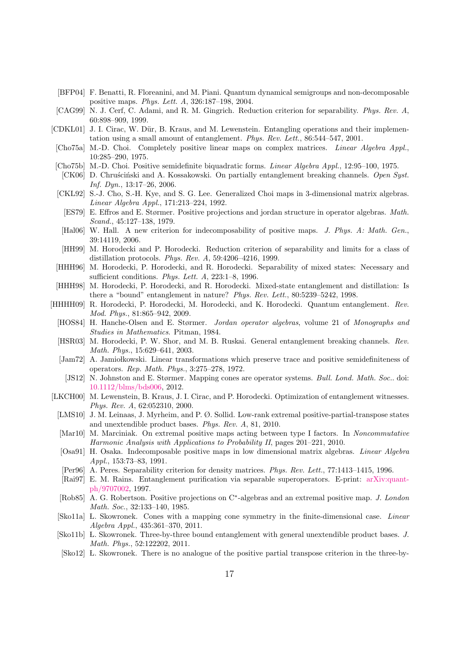- <span id="page-16-19"></span>[BFP04] F. Benatti, R. Floreanini, and M. Piani. Quantum dynamical semigroups and non-decomposable positive maps. Phys. Lett. A, 326:187–198, 2004.
- <span id="page-16-13"></span>[CAG99] N. J. Cerf, C. Adami, and R. M. Gingrich. Reduction criterion for separability. Phys. Rev. A, 60:898–909, 1999.
- <span id="page-16-10"></span>[CDKL01] J. I. Cirac, W. Dür, B. Kraus, and M. Lewenstein. Entangling operations and their implementation using a small amount of entanglement. Phys. Rev. Lett., 86:544–547, 2001.
- <span id="page-16-7"></span>[Cho75a] M.-D. Choi. Completely positive linear maps on complex matrices. Linear Algebra Appl., 10:285–290, 1975.
- <span id="page-16-16"></span>[Cho75b] M.-D. Choi. Positive semidefinite biquadratic forms. Linear Algebra Appl., 12:95–100, 1975.
- <span id="page-16-4"></span>[CK06] D. Chrus´ciński and A. Kossakowski. On partially entanglement breaking channels. Open Syst. Inf. Dyn., 13:17–26, 2006.
- <span id="page-16-25"></span><span id="page-16-17"></span>[CKL92] S.-J. Cho, S.-H. Kye, and S. G. Lee. Generalized Choi maps in 3-dimensional matrix algebras. Linear Algebra Appl., 171:213–224, 1992.
	- [ES79] E. Effros and E. Størmer. Positive projections and jordan structure in operator algebras. Math. Scand., 45:127–138, 1979.
- <span id="page-16-20"></span>[Hal06] W. Hall. A new criterion for indecomposability of positive maps. J. Phys. A: Math. Gen., 39:14119, 2006.
- <span id="page-16-14"></span>[HH99] M. Horodecki and P. Horodecki. Reduction criterion of separability and limits for a class of distillation protocols. Phys. Rev. A, 59:4206–4216, 1999.
- <span id="page-16-1"></span>[HHH96] M. Horodecki, P. Horodecki, and R. Horodecki. Separability of mixed states: Necessary and sufficient conditions. Phys. Lett. A, 223:1–8, 1996.
- <span id="page-16-12"></span>[HHH98] M. Horodecki, P. Horodecki, and R. Horodecki. Mixed-state entanglement and distillation: Is there a "bound" entanglement in nature? Phys. Rev. Lett., 80:5239–5242, 1998.
- <span id="page-16-24"></span><span id="page-16-5"></span><span id="page-16-3"></span>[HHHH09] R. Horodecki, P. Horodecki, M. Horodecki, and K. Horodecki. Quantum entanglement. Rev. Mod. Phys., 81:865–942, 2009.
	- [HOS84] H. Hanche-Olsen and E. Størmer. Jordan operator algebras, volume 21 of Monographs and Studies in Mathematics. Pitman, 1984.
	- [HSR03] M. Horodecki, P. W. Shor, and M. B. Ruskai. General entanglement breaking channels. Rev. Math. Phys., 15:629–641, 2003.
	- [Jam72] A. Jamio kowski. Linear transformations which preserve trace and positive semidefiniteness of operators. Rep. Math. Phys., 3:275–278, 1972.
	- [JS12] N. Johnston and E. Størmer. Mapping cones are operator systems. Bull. Lond. Math. Soc.. doi: [10.1112/blms/bds006,](http://dx.doi.org/10.1112/blms/bds006) 2012.
- <span id="page-16-26"></span><span id="page-16-23"></span><span id="page-16-22"></span><span id="page-16-21"></span><span id="page-16-18"></span><span id="page-16-15"></span><span id="page-16-11"></span><span id="page-16-9"></span><span id="page-16-8"></span><span id="page-16-6"></span><span id="page-16-2"></span><span id="page-16-0"></span>[LKCH00] M. Lewenstein, B. Kraus, J. I. Cirac, and P. Horodecki. Optimization of entanglement witnesses. Phys. Rev. A, 62:052310, 2000.
	- [LMS10] J. M. Leinaas, J. Myrheim, and P. Ø. Sollid. Low-rank extremal positive-partial-transpose states and unextendible product bases. Phys. Rev. A, 81, 2010.
	- [Mar10] M. Marciniak. On extremal positive maps acting between type I factors. In Noncommutative Harmonic Analysis with Applications to Probability II, pages 201–221, 2010.
	- [Osa91] H. Osaka. Indecomposable positive maps in low dimensional matrix algebras. Linear Algebra Appl., 153:73–83, 1991.
	- [Per96] A. Peres. Separability criterion for density matrices. Phys. Rev. Lett., 77:1413–1415, 1996.
	- [Rai97] E. M. Rains. Entanglement purification via separable superoperators. E-print: [arXiv:quant](http://arxiv.org/abs/quant-ph/9707002)[ph/9707002,](http://arxiv.org/abs/quant-ph/9707002) 1997.
	- [Rob85] A. G. Robertson. Positive projections on C<sup>∗</sup>-algebras and an extremal positive map. J. London Math. Soc., 32:133–140, 1985.
	- [Sko11a] L. Skowronek. Cones with a mapping cone symmetry in the finite-dimensional case. Linear Algebra Appl., 435:361–370, 2011.
	- [Sko11b] L. Skowronek. Three-by-three bound entanglement with general unextendible product bases. J. Math. Phys., 52:122202, 2011.
	- [Sko12] L. Skowronek. There is no analogue of the positive partial transpose criterion in the three-by-